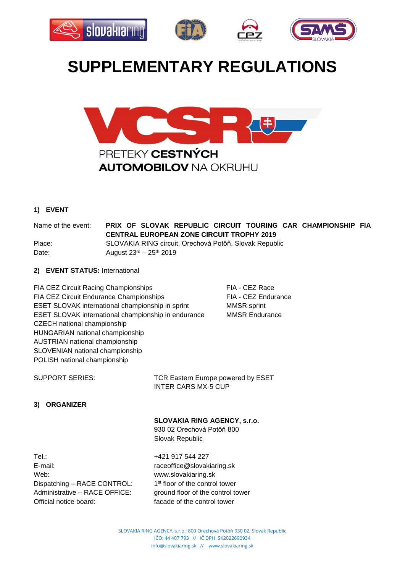







# **SUPPLEMENTARY REGULATIONS**



# **1) EVENT**

Name of the event: **PRIX OF SLOVAK REPUBLIC CIRCUIT TOURING CAR CHAMPIONSHIP FIA CENTRAL EUROPEAN ZONE CIRCUIT TROPHY 2019** Place: SLOVAKIA RING circuit, Orechová Potôň, Slovak Republic Date: **August 23<sup>rd</sup>** – 25<sup>th</sup> 2019

## **2) EVENT STATUS:** International

FIA CEZ Circuit Racing Championships FIA - CEZ Race FIA CEZ Circuit Endurance Championships FIA - CEZ Endurance ESET SLOVAK international championship in sprint MMSR sprint ESET SLOVAK international championship in endurance MMSR Endurance CZECH national championship HUNGARIAN national championship AUSTRIAN national championship SLOVENIAN national championship POLISH national championship

SUPPORT SERIES: TCR Eastern Europe powered by ESET INTER CARS MX-5 CUP

# **3) ORGANIZER**

## **SLOVAKIA RING AGENCY, s.r.o.**

930 02 Orechová Potôň 800 Slovak Republic

Tel.: 1917 544 227 E-mail: [raceoffice@slovakiaring.sk](mailto:raceoffice@slovakiaring.sk) Web: [www.slovakiaring.sk](http://www.slovakiaring.sk/) Dispatching – RACE CONTROL: 1 Administrative – RACE OFFICE: ground floor of the control tower Official notice board: facade of the control tower

1<sup>st</sup> floor of the control tower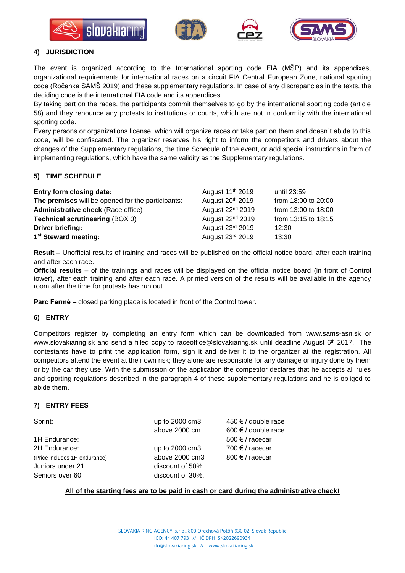







## **4) JURISDICTION**

The event is organized according to the International sporting code FIA (MŠP) and its appendixes, organizational requirements for international races on a circuit FIA Central European Zone, national sporting code (Ročenka SAMŠ 2019) and these supplementary regulations. In case of any discrepancies in the texts, the deciding code is the international FIA code and its appendices.

By taking part on the races, the participants commit themselves to go by the international sporting code (article 58) and they renounce any protests to institutions or courts, which are not in conformity with the international sporting code.

Every persons or organizations license, which will organize races or take part on them and doesn´t abide to this code, will be confiscated. The organizer reserves his right to inform the competitors and drivers about the changes of the Supplementary regulations, the time Schedule of the event, or add special instructions in form of implementing regulations, which have the same validity as the Supplementary regulations.

# **5) TIME SCHEDULE**

| Entry form closing date:                          | August 11 <sup>th</sup> 2019 | until 23:59         |
|---------------------------------------------------|------------------------------|---------------------|
| The premises will be opened for the participants: | August 20 <sup>th</sup> 2019 | from 18:00 to 20:00 |
| <b>Administrative check (Race office)</b>         | August 22 <sup>nd</sup> 2019 | from 13:00 to 18:00 |
| <b>Technical scrutineering (BOX 0)</b>            | August 22 <sup>nd</sup> 2019 | from 13:15 to 18:15 |
| Driver briefing:                                  | August 23rd 2019             | 12:30               |
| 1 <sup>st</sup> Steward meeting:                  | August 23rd 2019             | 13:30               |

**Result –** Unofficial results of training and races will be published on the official notice board, after each training and after each race.

**Official results** – of the trainings and races will be displayed on the official notice board (in front of Control tower), after each training and after each race. A printed version of the results will be available in the agency room after the time for protests has run out.

**Parc Fermé –** closed parking place is located in front of the Control tower.

## **6) ENTRY**

Competitors register by completing an entry form which can be downloaded from [www.sams-asn.sk](http://www.sams-asn.sk/) or [www.slovakiaring.sk](http://www.slovakiaring.sk/) and send a filled copy to [raceoffice@slovakiaring.sk](mailto:raceoffice@slovakiaring.sk) until deadline August 6<sup>th</sup> 2017. The contestants have to print the application form, sign it and deliver it to the organizer at the registration. All competitors attend the event at their own risk; they alone are responsible for any damage or injury done by them or by the car they use. With the submission of the application the competitor declares that he accepts all rules and sporting regulations described in the paragraph 4 of these supplementary regulations and he is obliged to abide them.

# **7) ENTRY FEES**

1H Endurance: 500 € / racecar 2H Endurance:  $\Box$  up to 2000 cm3 700  $\epsilon$  / racecar (Price includes 1H endurance)  $\qquad \qquad \text{above 2000 cm3} \qquad \qquad 800 \text{ } \text{\ensuremath{\in}} \text{/ race car}$ Juniors under 21 discount of 50%. Seniors over 60 discount of 30%.

Sprint: Sprint: Sprint: up to 2000 cm3 450 € / double race above 2000 cm  $600 \in \ell$  double race

## **All of the starting fees are to be paid in cash or card during the administrative check!**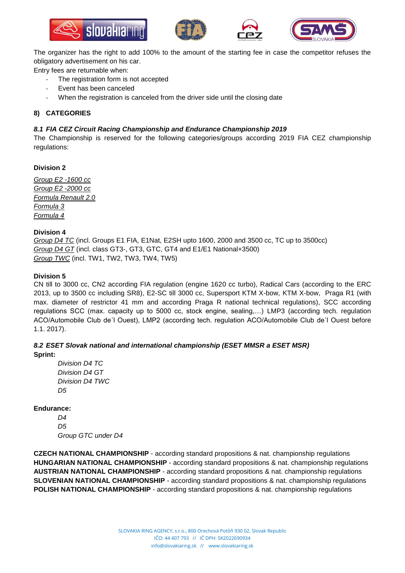







The organizer has the right to add 100% to the amount of the starting fee in case the competitor refuses the obligatory advertisement on his car.

Entry fees are returnable when:

- The registration form is not accepted
- Event has been canceled
- When the registration is canceled from the driver side until the closing date

# **8) CATEGORIES**

## *8.1 FIA CEZ Circuit Racing Championship and Endurance Championship 2019*

The Championship is reserved for the following categories/groups according 2019 FIA CEZ championship regulations:

## **Division 2**

*Group E2 -1600 cc Group E2 -2000 cc Formula Renault 2.0 Formula 3 Formula 4*

## **Division 4**

*Group D4 TC* (incl. Groups E1 FIA, E1Nat, E2SH upto 1600, 2000 and 3500 cc, TC up to 3500cc) *Group D4 GT* (incl. class GT3-, GT3, GTC, GT4 and E1/E1 National+3500) *Group TWC* (incl. TW1, TW2, TW3, TW4, TW5)

## **Division 5**

CN till to 3000 cc, CN2 according FIA regulation (engine 1620 cc turbo), Radical Cars (according to the ERC 2013, up to 3500 cc including SR8), E2-SC till 3000 cc, Supersport KTM X-bow, KTM X-bow, Praga R1 (with max. diameter of restrictor 41 mm and according Praga R national technical regulations), SCC according regulations SCC (max. capacity up to 5000 cc, stock engine, sealing,…) LMP3 (according tech. regulation ACO/Automobile Club de´l Ouest), LMP2 (according tech. regulation ACO/Automobile Club de´l Ouest before 1.1. 2017).

## *8.2 ESET Slovak national and international championship (ESET MMSR a ESET MSR)* **Sprint:**

*Division D4 TC Division D4 GT Division D4 TWC D5*

## **Endurance:**

*D4 D5 Group GTC under D4*

**CZECH NATIONAL CHAMPIONSHIP** - according standard propositions & nat. championship regulations **HUNGARIAN NATIONAL CHAMPIONSHIP** - according standard propositions & nat. championship regulations **AUSTRIAN NATIONAL CHAMPIONSHIP** - according standard propositions & nat. championship regulations **SLOVENIAN NATIONAL CHAMPIONSHIP** - according standard propositions & nat. championship regulations **POLISH NATIONAL CHAMPIONSHIP** - according standard propositions & nat. championship regulations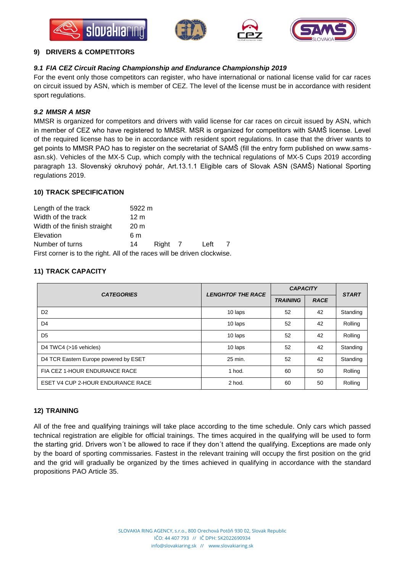







## **9) DRIVERS & COMPETITORS**

# *9.1 FIA CEZ Circuit Racing Championship and Endurance Championship 2019*

For the event only those competitors can register, who have international or national license valid for car races on circuit issued by ASN, which is member of CEZ. The level of the license must be in accordance with resident sport regulations.

# *9.2 MMSR A MSR*

MMSR is organized for competitors and drivers with valid license for car races on circuit issued by ASN, which in member of CEZ who have registered to MMSR. MSR is organized for competitors with SAMŠ license. Level of the required license has to be in accordance with resident sport regulations. In case that the driver wants to get points to MMSR PAO has to register on the secretariat of SAMŠ (fill the entry form published on www.samsasn.sk). Vehicles of the MX-5 Cup, which comply with the technical regulations of MX-5 Cups 2019 according paragraph 13. Slovenský okruhový pohár, Art.13.1.1 Eligible cars of Slovak ASN (SAMŠ) National Sporting regulations 2019.

## **10) TRACK SPECIFICATION**

| Length of the track                                                      | 5922 m          |         |      |  |
|--------------------------------------------------------------------------|-----------------|---------|------|--|
| Width of the track                                                       | 12 m            |         |      |  |
| Width of the finish straight                                             | 20 <sub>m</sub> |         |      |  |
| Elevation                                                                | 6 m             |         |      |  |
| Number of turns                                                          | 14              | Right 7 | Left |  |
| First corner is to the right. All of the races will be driven clockwise. |                 |         |      |  |

# **11) TRACK CAPACITY**

| <b>CATEGORIES</b>                     | <b>LENGHTOF THE RACE</b> | <b>CAPACITY</b> |             | <b>START</b> |
|---------------------------------------|--------------------------|-----------------|-------------|--------------|
|                                       |                          | <b>TRAINING</b> | <b>RACE</b> |              |
| D <sub>2</sub>                        | 10 laps                  | 52              | 42          | Standing     |
| D4                                    | 10 laps                  | 52              | 42          | Rolling      |
| D <sub>5</sub>                        | 10 laps                  | 52              | 42          | Rolling      |
| D4 TWC4 (>16 vehicles)                | 10 laps                  | 52              | 42          | Standing     |
| D4 TCR Eastern Europe powered by ESET | 25 min.                  | 52              | 42          | Standing     |
| FIA CEZ 1-HOUR ENDURANCE RACE         | 1 hod.                   | 60              | 50          | Rolling      |
| ESET V4 CUP 2-HOUR ENDURANCE RACE     | 2 hod.                   | 60              | 50          | Rolling      |

## **12) TRAINING**

All of the free and qualifying trainings will take place according to the time schedule. Only cars which passed technical registration are eligible for official trainings. The times acquired in the qualifying will be used to form the starting grid. Drivers won´t be allowed to race if they don´t attend the qualifying. Exceptions are made only by the board of sporting commissaries. Fastest in the relevant training will occupy the first position on the grid and the grid will gradually be organized by the times achieved in qualifying in accordance with the standard propositions PAO Article 35.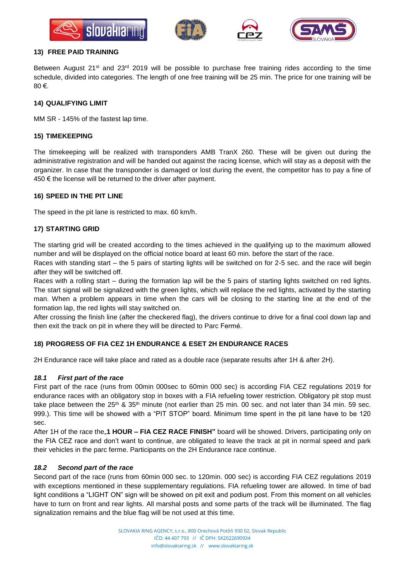







#### **13) FREE PAID TRAINING**

Between August 21<sup>st</sup> and 23<sup>rd</sup> 2019 will be possible to purchase free training rides according to the time schedule, divided into categories. The length of one free training will be 25 min. The price for one training will be 80 €.

#### **14) QUALIFYING LIMIT**

MM SR - 145% of the fastest lap time.

## **15) TIMEKEEPING**

The timekeeping will be realized with transponders AMB TranX 260. These will be given out during the administrative registration and will be handed out against the racing license, which will stay as a deposit with the organizer. In case that the transponder is damaged or lost during the event, the competitor has to pay a fine of 450  $€$  the license will be returned to the driver after payment.

#### **16) SPEED IN THE PIT LINE**

The speed in the pit lane is restricted to max. 60 km/h.

## **17) STARTING GRID**

The starting grid will be created according to the times achieved in the qualifying up to the maximum allowed number and will be displayed on the official notice board at least 60 min. before the start of the race.

Races with standing start – the 5 pairs of starting lights will be switched on for 2-5 sec. and the race will begin after they will be switched off.

Races with a rolling start – during the formation lap will be the 5 pairs of starting lights switched on red lights. The start signal will be signalized with the green lights, which will replace the red lights, activated by the starting man. When a problem appears in time when the cars will be closing to the starting line at the end of the formation lap, the red lights will stay switched on.

After crossing the finish line (after the checkered flag), the drivers continue to drive for a final cool down lap and then exit the track on pit in where they will be directed to Parc Fermé.

## **18) PROGRESS OF FIA CEZ 1H ENDURANCE & ESET 2H ENDURANCE RACES**

2H Endurance race will take place and rated as a double race (separate results after 1H & after 2H).

## *18.1 First part of the race*

First part of the race (runs from 00min 000sec to 60min 000 sec) is according FIA CEZ regulations 2019 for endurance races with an obligatory stop in boxes with a FIA refueling tower restriction. Obligatory pit stop must take place between the  $25<sup>th</sup>$  &  $35<sup>th</sup>$  minute (not earlier than 25 min. 00 sec. and not later than 34 min. 59 sec. 999.). This time will be showed with a "PIT STOP" board. Minimum time spent in the pit lane have to be 120 sec.

After 1H of the race the<sub>n</sub>1 HOUR – FIA CEZ RACE FINISH" board will be showed. Drivers, participating only on the FIA CEZ race and don't want to continue, are obligated to leave the track at pit in normal speed and park their vehicles in the parc ferme. Participants on the 2H Endurance race continue.

## *18.2 Second part of the race*

Second part of the race (runs from 60min 000 sec. to 120min. 000 sec) is according FIA CEZ regulations 2019 with exceptions mentioned in these supplementary regulations. FIA refueling tower are allowed. In time of bad light conditions a "LIGHT ON" sign will be showed on pit exit and podium post. From this moment on all vehicles have to turn on front and rear lights. All marshal posts and some parts of the track will be illuminated. The flag signalization remains and the blue flag will be not used at this time.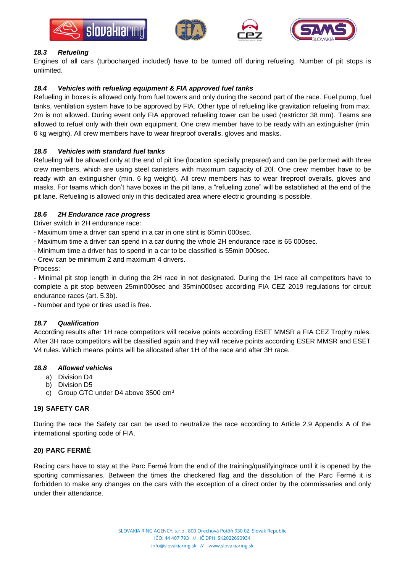







# *18.3 Refueling*

Engines of all cars (turbocharged included) have to be turned off during refueling. Number of pit stops is unlimited.

## *18.4 Vehicles with refueling equipment & FIA approved fuel tanks*

Refueling in boxes is allowed only from fuel towers and only during the second part of the race. Fuel pump, fuel tanks, ventilation system have to be approved by FIA. Other type of refueling like gravitation refueling from max. 2m is not allowed. During event only FIA approved refueling tower can be used (restrictor 38 mm). Teams are allowed to refuel only with their own equipment. One crew member have to be ready with an extinguisher (min. 6 kg weight). All crew members have to wear fireproof overalls, gloves and masks.

## *18.5 Vehicles with standard fuel tanks*

Refueling will be allowed only at the end of pit line (location specially prepared) and can be performed with three crew members, which are using steel canisters with maximum capacity of 20l. One crew member have to be ready with an extinguisher (min. 6 kg weight). All crew members has to wear fireproof overalls, gloves and masks. For teams which don't have boxes in the pit lane, a "refueling zone" will be established at the end of the pit lane. Refueling is allowed only in this dedicated area where electric grounding is possible.

## *18.6 2H Endurance race progress*

Driver switch in 2H endurance race:

- Maximum time a driver can spend in a car in one stint is 65min 000sec.
- Maximum time a driver can spend in a car during the whole 2H endurance race is 65 000sec.
- Minimum time a driver has to spend in a car to be classified is 55min 000sec.
- Crew can be minimum 2 and maximum 4 drivers.

Process:

- Minimal pit stop length in during the 2H race in not designated. During the 1H race all competitors have to complete a pit stop between 25min000sec and 35min000sec according FIA CEZ 2019 regulations for circuit endurance races (art. 5.3b).

- Number and type or tires used is free.

## *18.7 Qualification*

According results after 1H race competitors will receive points according ESET MMSR a FIA CEZ Trophy rules. After 3H race competitors will be classified again and they will receive points according ESER MMSR and ESET V4 rules. Which means points will be allocated after 1H of the race and after 3H race.

## *18.8 Allowed vehicles*

- a) Division D4
- b) Division D5
- c) Group GTC under D4 above 3500 cm<sup>3</sup>

## **19) SAFETY CAR**

During the race the Safety car can be used to neutralize the race according to Article 2.9 Appendix A of the international sporting code of FIA.

## **20) PARC FERMÉ**

Racing cars have to stay at the Parc Fermé from the end of the training/qualifying/race until it is opened by the sporting commissaries. Between the times the checkered flag and the dissolution of the Parc Fermé it is forbidden to make any changes on the cars with the exception of a direct order by the commissaries and only under their attendance.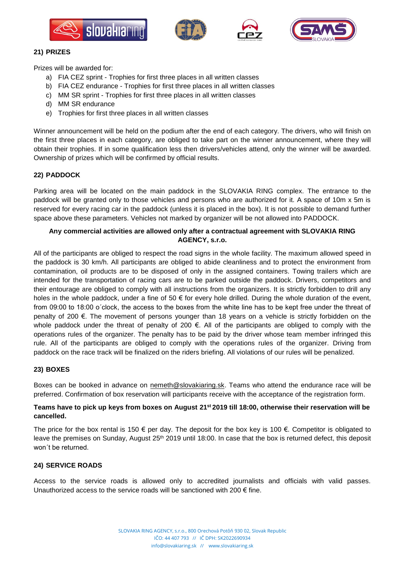







## **21) PRIZES**

Prizes will be awarded for:

- a) FIA CEZ sprint Trophies for first three places in all written classes
- b) FIA CEZ endurance Trophies for first three places in all written classes
- c) MM SR sprint Trophies for first three places in all written classes
- d) MM SR endurance
- e) Trophies for first three places in all written classes

Winner announcement will be held on the podium after the end of each category. The drivers, who will finish on the first three places in each category, are obliged to take part on the winner announcement, where they will obtain their trophies. If in some qualification less then drivers/vehicles attend, only the winner will be awarded. Ownership of prizes which will be confirmed by official results.

## **22) PADDOCK**

Parking area will be located on the main paddock in the SLOVAKIA RING complex. The entrance to the paddock will be granted only to those vehicles and persons who are authorized for it. A space of 10m x 5m is reserved for every racing car in the paddock (unless it is placed in the box). It is not possible to demand further space above these parameters. Vehicles not marked by organizer will be not allowed into PADDOCK.

# **Any commercial activities are allowed only after a contractual agreement with SLOVAKIA RING AGENCY, s.r.o.**

All of the participants are obliged to respect the road signs in the whole facility. The maximum allowed speed in the paddock is 30 km/h. All participants are obliged to abide cleanliness and to protect the environment from contamination, oil products are to be disposed of only in the assigned containers. Towing trailers which are intended for the transportation of racing cars are to be parked outside the paddock. Drivers, competitors and their entourage are obliged to comply with all instructions from the organizers. It is strictly forbidden to drill any holes in the whole paddock, under a fine of 50  $\epsilon$  for every hole drilled. During the whole duration of the event, from 09:00 to 18:00 o´clock, the access to the boxes from the white line has to be kept free under the threat of penalty of 200 €. The movement of persons younger than 18 years on a vehicle is strictly forbidden on the whole paddock under the threat of penalty of 200 €. All of the participants are obliged to comply with the operations rules of the organizer. The penalty has to be paid by the driver whose team member infringed this rule. All of the participants are obliged to comply with the operations rules of the organizer. Driving from paddock on the race track will be finalized on the riders briefing. All violations of our rules will be penalized.

## **23) BOXES**

Boxes can be booked in advance on [nemeth@slovakiaring.sk.](mailto:nemeth@slovakiaring.sk) Teams who attend the endurance race will be preferred. Confirmation of box reservation will participants receive with the acceptance of the registration form.

## **Teams have to pick up keys from boxes on August 21st 2019 till 18:00, otherwise their reservation will be cancelled.**

The price for the box rental is 150  $\epsilon$  per day. The deposit for the box key is 100  $\epsilon$ . Competitor is obligated to leave the premises on Sunday, August 25<sup>th</sup> 2019 until 18:00. In case that the box is returned defect, this deposit won´t be returned.

## **24) SERVICE ROADS**

Access to the service roads is allowed only to accredited journalists and officials with valid passes. Unauthorized access to the service roads will be sanctioned with 200  $\epsilon$  fine.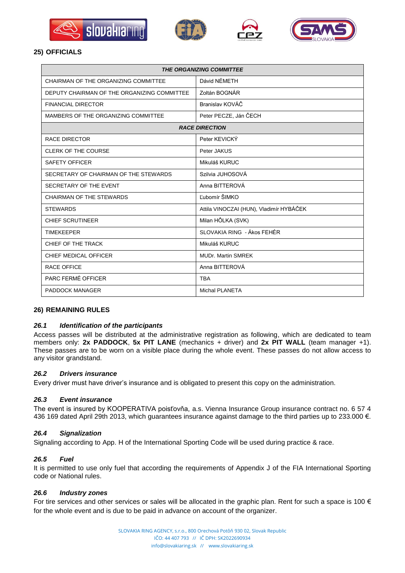







# **25) OFFICIALS**

| <b>THE ORGANIZING COMMITTEE</b>             |                                         |  |
|---------------------------------------------|-----------------------------------------|--|
| CHAIRMAN OF THE ORGANIZING COMMITTEE        | Dávid NÉMETH                            |  |
| DEPUTY CHAIRMAN OF THE ORGANIZING COMMITTEE | Zoltán BOGNÁR                           |  |
| <b>FINANCIAL DIRECTOR</b>                   | Branislav KOVÁČ                         |  |
| MAMBERS OF THE ORGANIZING COMMITTEE         | Peter PECZE, Ján ČECH                   |  |
| <b>RACE DIRECTION</b>                       |                                         |  |
| <b>RACE DIRECTOR</b>                        | Peter KEVICKÝ                           |  |
| <b>CLERK OF THE COURSE</b>                  | Peter JAKUS                             |  |
| <b>SAFETY OFFICER</b>                       | Mikuláš KURUC                           |  |
| SECRETARY OF CHAIRMAN OF THE STEWARDS       | Szilvia JUHOSOVÁ                        |  |
| SECRETARY OF THE EVENT                      | Anna BITTEROVÁ                          |  |
| CHAIRMAN OF THE STEWARDS                    | Ľubomír ŠIMKO                           |  |
| <b>STEWARDS</b>                             | Attila VINOCZAI (HUN), Vladimír HYBÁČEK |  |
| <b>CHIEF SCRUTINEER</b>                     | Milan HÔLKA (SVK)                       |  |
| <b>TIMEKEEPER</b>                           | SLOVAKIA RING - Ákos FEHÉR              |  |
| CHIEF OF THE TRACK                          | Mikuláš KURUC                           |  |
| CHIEF MEDICAL OFFICER                       | <b>MUDr. Martin SMREK</b>               |  |
| <b>RACE OFFICE</b>                          | Anna BITTEROVÁ                          |  |
| PARC FERMÉ OFFICER                          | <b>TBA</b>                              |  |
| <b>PADDOCK MANAGER</b>                      | <b>Michal PLANETA</b>                   |  |

## **26) REMAINING RULES**

# *26.1 Identification of the participants*

Access passes will be distributed at the administrative registration as following, which are dedicated to team members only: **2x PADDOCK**, **5x PIT LANE** (mechanics + driver) and **2x PIT WALL** (team manager +1). These passes are to be worn on a visible place during the whole event. These passes do not allow access to any visitor grandstand.

## *26.2 Drivers insurance*

Every driver must have driver's insurance and is obligated to present this copy on the administration.

## *26.3 Event insurance*

The event is insured by KOOPERATIVA poisťovňa, a.s. Vienna Insurance Group insurance contract no. 6 57 4 436 169 dated April 29th 2013, which guarantees insurance against damage to the third parties up to 233.000 €.

#### *26.4 Signalization*

Signaling according to App. H of the International Sporting Code will be used during practice & race.

## *26.5 Fuel*

It is permitted to use only fuel that according the requirements of Appendix J of the FIA International Sporting code or National rules.

#### *26.6 Industry zones*

For tire services and other services or sales will be allocated in the graphic plan. Rent for such a space is 100  $\epsilon$ for the whole event and is due to be paid in advance on account of the organizer.